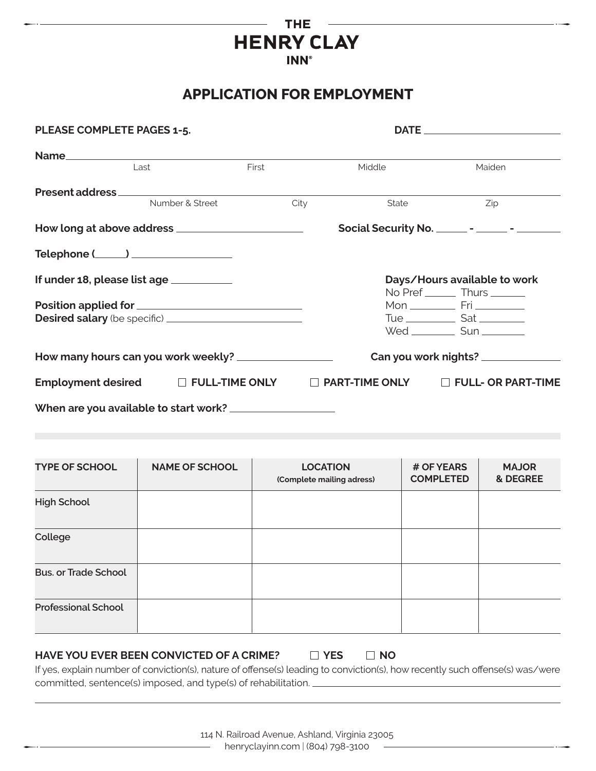### **THE HENRY CLAY INN®**

## **APPLICATION FOR EMPLOYMENT**

| PLEASE COMPLETE PAGES 1-5.             |                 |       |                       |                                                       |
|----------------------------------------|-----------------|-------|-----------------------|-------------------------------------------------------|
|                                        |                 |       |                       |                                                       |
| Last                                   |                 | First | Middle                | Maiden                                                |
|                                        |                 |       |                       |                                                       |
|                                        | Number & Street | City  | State                 | Zip                                                   |
|                                        |                 |       |                       | Social Security No. ________ - ________ - ___________ |
| Telephone (_____) ________________     |                 |       |                       |                                                       |
| If under 18, please list age _________ |                 |       |                       | Days/Hours available to work                          |
|                                        |                 |       |                       | No Pref _______ Thurs ______                          |
|                                        |                 |       |                       |                                                       |
|                                        |                 |       |                       | Wed _____________ Sun _________                       |
|                                        |                 |       |                       | Can you work nights? _____________                    |
| Employment desired D FULL-TIME ONLY    |                 |       | $\Box$ PART-TIME ONLY | $\Box$ FULL- OR PART-TIME                             |
| When are you available to start work?  |                 |       |                       |                                                       |

| <b>TYPE OF SCHOOL</b>       | <b>NAME OF SCHOOL</b> | <b>LOCATION</b><br>(Complete mailing adress) | # OF YEARS<br><b>COMPLETED</b> | <b>MAJOR</b><br>& DEGREE |
|-----------------------------|-----------------------|----------------------------------------------|--------------------------------|--------------------------|
| <b>High School</b>          |                       |                                              |                                |                          |
| College                     |                       |                                              |                                |                          |
| <b>Bus. or Trade School</b> |                       |                                              |                                |                          |
| <b>Professional School</b>  |                       |                                              |                                |                          |

#### HAVE YOU EVER BEEN CONVICTED OF A CRIME?  $\Box$  YES  $\Box$  NO

If yes, explain number of conviction(s), nature of offense(s) leading to conviction(s), how recently such offense(s) was/were committed, sentence(s) imposed, and type(s) of rehabilitation.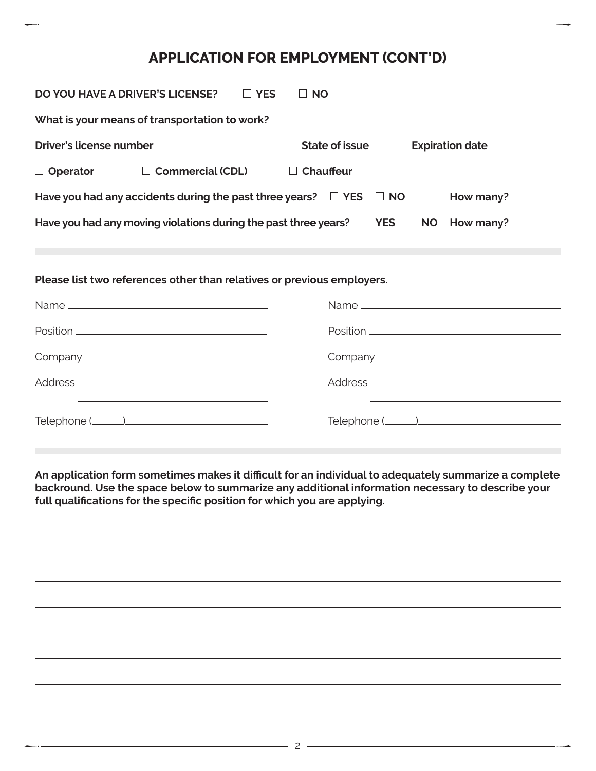## **APPLICATION FOR EMPLOYMENT (CONT'D)**

| <b>DO YOU HAVE A DRIVER'S LICENSE?</b><br>$\Box$ YES<br>$\Box$ NO                                                                |                  |  |  |
|----------------------------------------------------------------------------------------------------------------------------------|------------------|--|--|
| What is your means of transportation to work? __________________________________                                                 |                  |  |  |
|                                                                                                                                  |                  |  |  |
| $\Box$ Operator $\Box$ Commercial (CDL)                                                                                          | $\Box$ Chauffeur |  |  |
| Have you had any accidents during the past three years? $\square$ YES $\square$ NO<br>How many? _________                        |                  |  |  |
| Have you had any moving violations during the past three years? $\square$ YES $\square$ NO How many?                             |                  |  |  |
|                                                                                                                                  |                  |  |  |
| Please list two references other than relatives or previous employers.                                                           |                  |  |  |
|                                                                                                                                  |                  |  |  |
|                                                                                                                                  |                  |  |  |
| $\begin{minipage}{.4\linewidth} \textbf{Position} \begin{tabular}{.43\linewidth} \textbf{Position} \end{tabular} \end{minipage}$ |                  |  |  |
|                                                                                                                                  |                  |  |  |
|                                                                                                                                  |                  |  |  |

**An application form sometimes makes it difficult for an individual to adequately summarize a complete backround. Use the space below to summarize any additional information necessary to describe your full qualifications for the specific position for which you are applying.**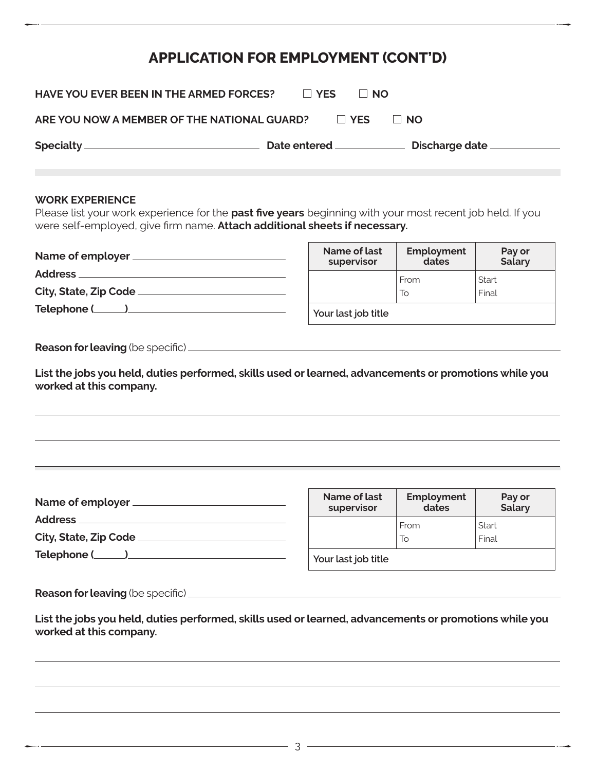## **APPLICATION FOR EMPLOYMENT (CONT'D)**

| <b>HAVE YOU EVER BEEN IN THE ARMED FORCES?</b> | $\Box$ YES          | ⊟ NO               |  |
|------------------------------------------------|---------------------|--------------------|--|
| ARE YOU NOW A MEMBER OF THE NATIONAL GUARD?    |                     | $\Box$ YES<br>⊟ NΩ |  |
|                                                | <b>Date entered</b> | Discharge date ___ |  |

#### **WORK EXPERIENCE**

Please list your work experience for the **past five years** beginning with your most recent job held. If you were self-employed, give firm name. **Attach additional sheets if necessary.**

| Name of employer ______ |
|-------------------------|
| Address ___________     |
| City, State, Zip Code   |
| Telephone (_______)____ |
|                         |

| Name of employer      | Name of last<br>supervisor | Employment<br>dates | Pay or<br><b>Salary</b> |
|-----------------------|----------------------------|---------------------|-------------------------|
| <b>Address</b>        |                            | From                | Start                   |
| City, State, Zip Code |                            | 10                  | Final                   |
| Telephone (___        | Your last job title        |                     |                         |

**Reason for leaving** (be specific)

**List the jobs you held, duties performed, skills used or learned, advancements or promotions while you worked at this company.**

| Name of employer      | Name of last<br>supervisor | Employment<br>dates | Pay or<br>Salary |
|-----------------------|----------------------------|---------------------|------------------|
| <b>Address</b>        |                            | From                | Start            |
| City, State, Zip Code |                            | To                  | Final            |
| Telephone (           | Your last job title        |                     |                  |

**Reason for leaving** (be specific)

**List the jobs you held, duties performed, skills used or learned, advancements or promotions while you worked at this company.**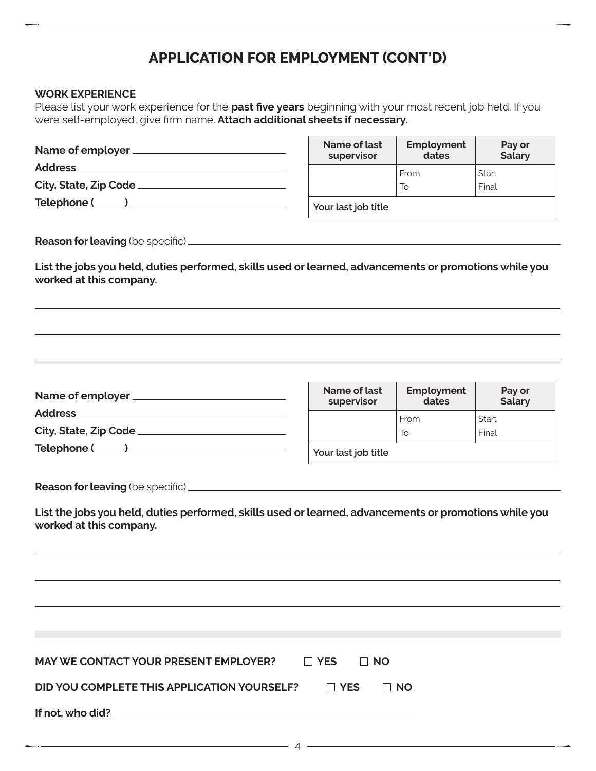## **APPLICATION FOR EMPLOYMENT (CONT'D)**

### **WORK EXPERIENCE**

Please list your work experience for the **past five years** beginning with your most recent job held. If you were self-employed, give firm name. **Attach additional sheets if necessary.**

|                                                                                                                                   | Name of last<br>supervisor | Employment<br>dates | Pay or<br><b>Salary</b> |
|-----------------------------------------------------------------------------------------------------------------------------------|----------------------------|---------------------|-------------------------|
|                                                                                                                                   |                            | From                | Start                   |
|                                                                                                                                   |                            | To                  | Final                   |
| Telephone ( )                                                                                                                     | Your last job title        |                     |                         |
| List the jobs you held, duties performed, skills used or learned, advancements or promotions while you<br>worked at this company. |                            |                     |                         |
|                                                                                                                                   | Name of last               | Employment          | Pay or                  |
|                                                                                                                                   | supervisor                 | dates               | <b>Salary</b>           |
|                                                                                                                                   |                            | From                | Start                   |
|                                                                                                                                   |                            | To                  | Final                   |
| Telephone ( )                                                                                                                     | Your last job title        |                     |                         |
| List the jobs you held, duties performed, skills used or learned, advancements or promotions while you                            |                            |                     |                         |
| worked at this company.                                                                                                           |                            |                     |                         |
|                                                                                                                                   |                            |                     |                         |
|                                                                                                                                   |                            |                     |                         |
|                                                                                                                                   |                            |                     |                         |
| <b>MAY WE CONTACT YOUR PRESENT EMPLOYER?</b>                                                                                      | $\Box$ YES<br>$\Box$ NO    |                     |                         |
| DID YOU COMPLETE THIS APPLICATION YOURSELF?                                                                                       | $\Box$ YES                 | $\Box$ NO           |                         |
|                                                                                                                                   |                            |                     |                         |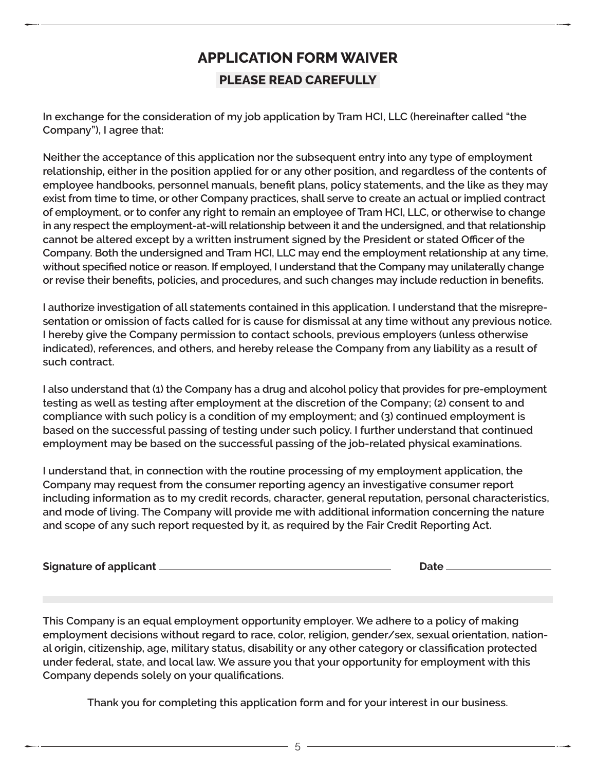# **APPLICATION FORM WAIVER PLEASE READ CAREFULLY**

**In exchange for the consideration of my job application by Tram HCI, LLC (hereinafter called "the Company"), I agree that:**

**Neither the acceptance of this application nor the subsequent entry into any type of employment relationship, either in the position applied for or any other position, and regardless of the contents of employee handbooks, personnel manuals, benefit plans, policy statements, and the like as they may exist from time to time, or other Company practices, shall serve to create an actual or implied contract of employment, or to confer any right to remain an employee of Tram HCI, LLC, or otherwise to change in any respect the employment-at-will relationship between it and the undersigned, and that relationship cannot be altered except by a written instrument signed by the President or stated Officer of the Company. Both the undersigned and Tram HCI, LLC may end the employment relationship at any time, without specified notice or reason. If employed, I understand that the Company may unilaterally change or revise their benefits, policies, and procedures, and such changes may include reduction in benefits.**

**I authorize investigation of all statements contained in this application. I understand that the misrepresentation or omission of facts called for is cause for dismissal at any time without any previous notice. I hereby give the Company permission to contact schools, previous employers (unless otherwise indicated), references, and others, and hereby release the Company from any liability as a result of such contract.**

**I also understand that (1) the Company has a drug and alcohol policy that provides for pre-employment testing as well as testing after employment at the discretion of the Company; (2) consent to and compliance with such policy is a condition of my employment; and (3) continued employment is based on the successful passing of testing under such policy. I further understand that continued employment may be based on the successful passing of the job-related physical examinations.**

**I understand that, in connection with the routine processing of my employment application, the Company may request from the consumer reporting agency an investigative consumer report including information as to my credit records, character, general reputation, personal characteristics, and mode of living. The Company will provide me with additional information concerning the nature and scope of any such report requested by it, as required by the Fair Credit Reporting Act.**

| Signature of applicant | Date |
|------------------------|------|
|                        |      |

**This Company is an equal employment opportunity employer. We adhere to a policy of making employment decisions without regard to race, color, religion, gender/sex, sexual orientation, national origin, citizenship, age, military status, disability or any other category or classification protected under federal, state, and local law. We assure you that your opportunity for employment with this Company depends solely on your qualifications.**

**Thank you for completing this application form and for your interest in our business.**